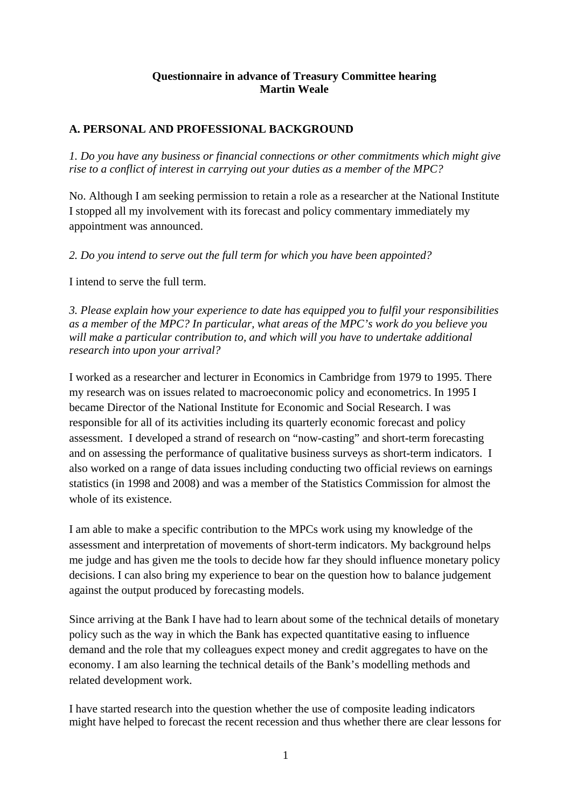### **Questionnaire in advance of Treasury Committee hearing Martin Weale**

### **A. PERSONAL AND PROFESSIONAL BACKGROUND**

*1. Do you have any business or financial connections or other commitments which might give rise to a conflict of interest in carrying out your duties as a member of the MPC?* 

No. Although I am seeking permission to retain a role as a researcher at the National Institute I stopped all my involvement with its forecast and policy commentary immediately my appointment was announced.

*2. Do you intend to serve out the full term for which you have been appointed?* 

I intend to serve the full term.

*3. Please explain how your experience to date has equipped you to fulfil your responsibilities as a member of the MPC? In particular, what areas of the MPC's work do you believe you will make a particular contribution to, and which will you have to undertake additional research into upon your arrival?* 

I worked as a researcher and lecturer in Economics in Cambridge from 1979 to 1995. There my research was on issues related to macroeconomic policy and econometrics. In 1995 I became Director of the National Institute for Economic and Social Research. I was responsible for all of its activities including its quarterly economic forecast and policy assessment. I developed a strand of research on "now-casting" and short-term forecasting and on assessing the performance of qualitative business surveys as short-term indicators. I also worked on a range of data issues including conducting two official reviews on earnings statistics (in 1998 and 2008) and was a member of the Statistics Commission for almost the whole of its existence.

I am able to make a specific contribution to the MPCs work using my knowledge of the assessment and interpretation of movements of short-term indicators. My background helps me judge and has given me the tools to decide how far they should influence monetary policy decisions. I can also bring my experience to bear on the question how to balance judgement against the output produced by forecasting models.

Since arriving at the Bank I have had to learn about some of the technical details of monetary policy such as the way in which the Bank has expected quantitative easing to influence demand and the role that my colleagues expect money and credit aggregates to have on the economy. I am also learning the technical details of the Bank's modelling methods and related development work.

I have started research into the question whether the use of composite leading indicators might have helped to forecast the recent recession and thus whether there are clear lessons for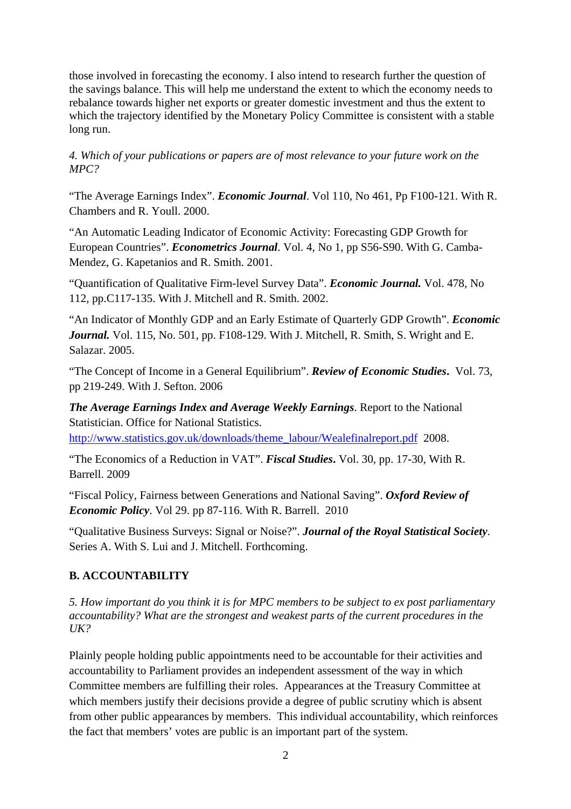those involved in forecasting the economy. I also intend to research further the question of the savings balance. This will help me understand the extent to which the economy needs to rebalance towards higher net exports or greater domestic investment and thus the extent to which the trajectory identified by the Monetary Policy Committee is consistent with a stable long run.

### *4. Which of your publications or papers are of most relevance to your future work on the MPC?*

"The Average Earnings Index". *Economic Journal*. Vol 110, No 461, Pp F100-121. With R. Chambers and R. Youll. 2000.

"An Automatic Leading Indicator of Economic Activity: Forecasting GDP Growth for European Countries". *Econometrics Journal*. Vol. 4, No 1, pp S56-S90. With G. Camba-Mendez, G. Kapetanios and R. Smith. 2001.

"Quantification of Qualitative Firm-level Survey Data". *Economic Journal.* Vol. 478, No 112, pp.C117-135. With J. Mitchell and R. Smith. 2002.

"An Indicator of Monthly GDP and an Early Estimate of Quarterly GDP Growth". *Economic Journal.* Vol. 115, No. 501, pp. F108-129. With J. Mitchell, R. Smith, S. Wright and E. Salazar. 2005.

"The Concept of Income in a General Equilibrium". *Review of Economic Studies***.** Vol. 73, pp 219-249. With J. Sefton. 2006

*The Average Earnings Index and Average Weekly Earnings*. Report to the National Statistician. Office for National Statistics.

http://www.statistics.gov.uk/downloads/theme\_labour/Wealefinalreport.pdf 2008.

"The Economics of a Reduction in VAT". *Fiscal Studies***.** Vol. 30, pp. 17-30, With R. Barrell. 2009

"Fiscal Policy, Fairness between Generations and National Saving". *Oxford Review of Economic Policy*. Vol 29. pp 87-116. With R. Barrell. 2010

"Qualitative Business Surveys: Signal or Noise?". *Journal of the Royal Statistical Society*. Series A. With S. Lui and J. Mitchell. Forthcoming.

# **B. ACCOUNTABILITY**

*5. How important do you think it is for MPC members to be subject to ex post parliamentary accountability? What are the strongest and weakest parts of the current procedures in the UK?* 

Plainly people holding public appointments need to be accountable for their activities and accountability to Parliament provides an independent assessment of the way in which Committee members are fulfilling their roles. Appearances at the Treasury Committee at which members justify their decisions provide a degree of public scrutiny which is absent from other public appearances by members. This individual accountability, which reinforces the fact that members' votes are public is an important part of the system.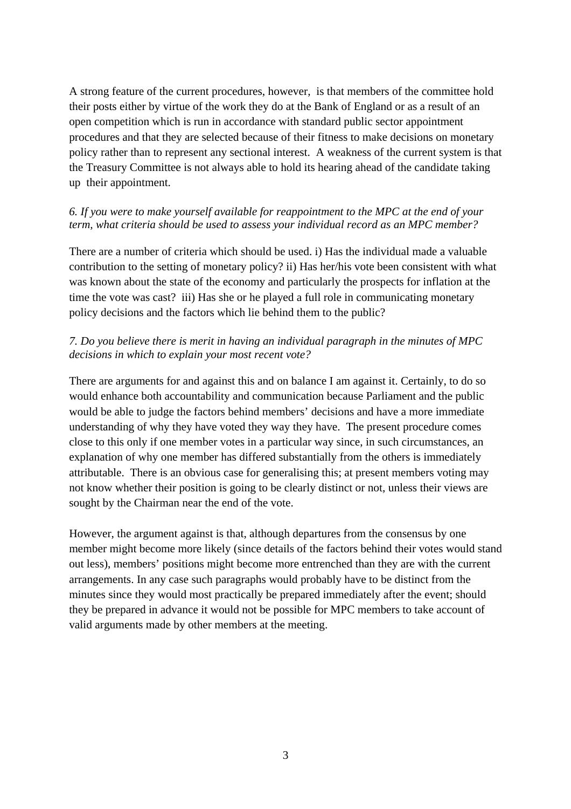A strong feature of the current procedures, however, is that members of the committee hold their posts either by virtue of the work they do at the Bank of England or as a result of an open competition which is run in accordance with standard public sector appointment procedures and that they are selected because of their fitness to make decisions on monetary policy rather than to represent any sectional interest. A weakness of the current system is that the Treasury Committee is not always able to hold its hearing ahead of the candidate taking up their appointment.

### *6. If you were to make yourself available for reappointment to the MPC at the end of your term, what criteria should be used to assess your individual record as an MPC member?*

There are a number of criteria which should be used. i) Has the individual made a valuable contribution to the setting of monetary policy? ii) Has her/his vote been consistent with what was known about the state of the economy and particularly the prospects for inflation at the time the vote was cast? iii) Has she or he played a full role in communicating monetary policy decisions and the factors which lie behind them to the public?

### *7. Do you believe there is merit in having an individual paragraph in the minutes of MPC decisions in which to explain your most recent vote?*

There are arguments for and against this and on balance I am against it. Certainly, to do so would enhance both accountability and communication because Parliament and the public would be able to judge the factors behind members' decisions and have a more immediate understanding of why they have voted they way they have. The present procedure comes close to this only if one member votes in a particular way since, in such circumstances, an explanation of why one member has differed substantially from the others is immediately attributable. There is an obvious case for generalising this; at present members voting may not know whether their position is going to be clearly distinct or not, unless their views are sought by the Chairman near the end of the vote.

However, the argument against is that, although departures from the consensus by one member might become more likely (since details of the factors behind their votes would stand out less), members' positions might become more entrenched than they are with the current arrangements. In any case such paragraphs would probably have to be distinct from the minutes since they would most practically be prepared immediately after the event; should they be prepared in advance it would not be possible for MPC members to take account of valid arguments made by other members at the meeting.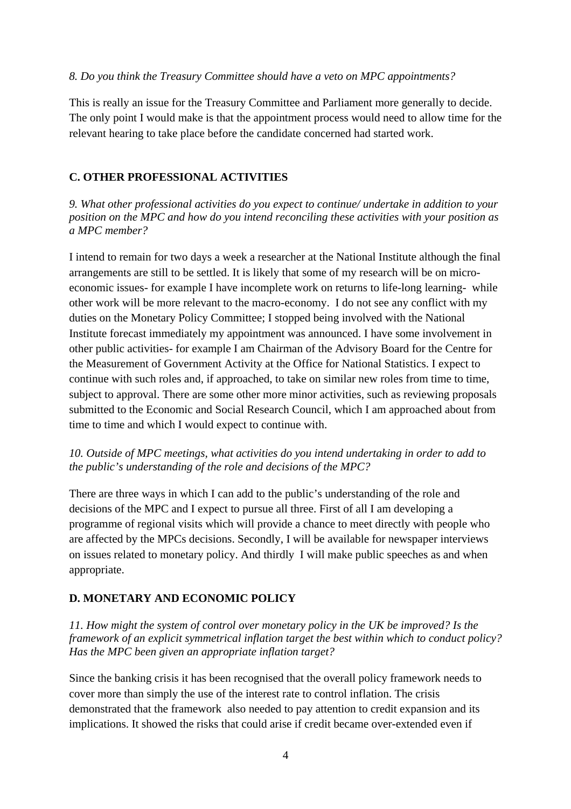### *8. Do you think the Treasury Committee should have a veto on MPC appointments?*

This is really an issue for the Treasury Committee and Parliament more generally to decide. The only point I would make is that the appointment process would need to allow time for the relevant hearing to take place before the candidate concerned had started work.

### **C. OTHER PROFESSIONAL ACTIVITIES**

*9. What other professional activities do you expect to continue/ undertake in addition to your position on the MPC and how do you intend reconciling these activities with your position as a MPC member?* 

I intend to remain for two days a week a researcher at the National Institute although the final arrangements are still to be settled. It is likely that some of my research will be on microeconomic issues- for example I have incomplete work on returns to life-long learning- while other work will be more relevant to the macro-economy. I do not see any conflict with my duties on the Monetary Policy Committee; I stopped being involved with the National Institute forecast immediately my appointment was announced. I have some involvement in other public activities- for example I am Chairman of the Advisory Board for the Centre for the Measurement of Government Activity at the Office for National Statistics. I expect to continue with such roles and, if approached, to take on similar new roles from time to time, subject to approval. There are some other more minor activities, such as reviewing proposals submitted to the Economic and Social Research Council, which I am approached about from time to time and which I would expect to continue with.

### *10. Outside of MPC meetings, what activities do you intend undertaking in order to add to the public's understanding of the role and decisions of the MPC?*

There are three ways in which I can add to the public's understanding of the role and decisions of the MPC and I expect to pursue all three. First of all I am developing a programme of regional visits which will provide a chance to meet directly with people who are affected by the MPCs decisions. Secondly, I will be available for newspaper interviews on issues related to monetary policy. And thirdly I will make public speeches as and when appropriate.

## **D. MONETARY AND ECONOMIC POLICY**

*11. How might the system of control over monetary policy in the UK be improved? Is the framework of an explicit symmetrical inflation target the best within which to conduct policy? Has the MPC been given an appropriate inflation target?* 

Since the banking crisis it has been recognised that the overall policy framework needs to cover more than simply the use of the interest rate to control inflation. The crisis demonstrated that the framework also needed to pay attention to credit expansion and its implications. It showed the risks that could arise if credit became over-extended even if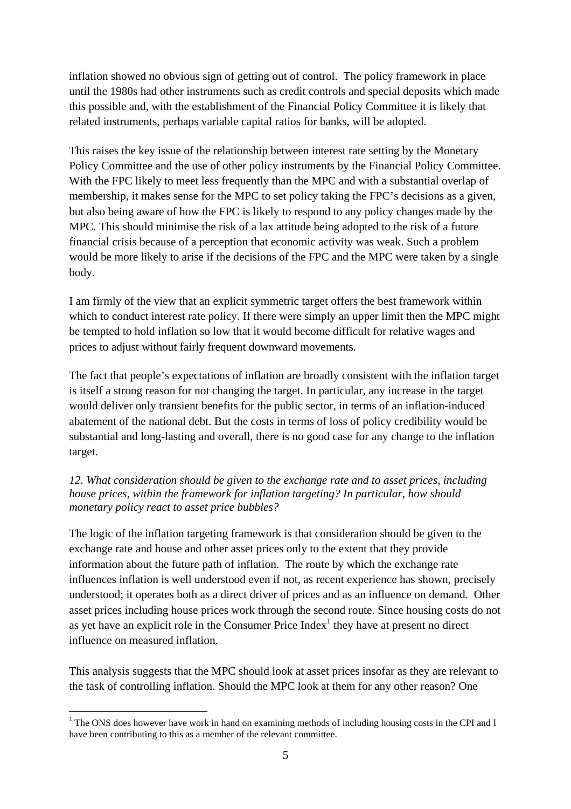inflation showed no obvious sign of getting out of control. The policy framework in place until the 1980s had other instruments such as credit controls and special deposits which made this possible and, with the establishment of the Financial Policy Committee it is likely that related instruments, perhaps variable capital ratios for banks, will be adopted.

This raises the key issue of the relationship between interest rate setting by the Monetary Policy Committee and the use of other policy instruments by the Financial Policy Committee. With the FPC likely to meet less frequently than the MPC and with a substantial overlap of membership, it makes sense for the MPC to set policy taking the FPC's decisions as a given, but also being aware of how the FPC is likely to respond to any policy changes made by the MPC. This should minimise the risk of a lax attitude being adopted to the risk of a future financial crisis because of a perception that economic activity was weak. Such a problem would be more likely to arise if the decisions of the FPC and the MPC were taken by a single body.

I am firmly of the view that an explicit symmetric target offers the best framework within which to conduct interest rate policy. If there were simply an upper limit then the MPC might be tempted to hold inflation so low that it would become difficult for relative wages and prices to adjust without fairly frequent downward movements.

The fact that people's expectations of inflation are broadly consistent with the inflation target is itself a strong reason for not changing the target. In particular, any increase in the target would deliver only transient benefits for the public sector, in terms of an inflation-induced abatement of the national debt. But the costs in terms of loss of policy credibility would be substantial and long-lasting and overall, there is no good case for any change to the inflation target.

### *12. What consideration should be given to the exchange rate and to asset prices, including house prices, within the framework for inflation targeting? In particular, how should monetary policy react to asset price bubbles?*

The logic of the inflation targeting framework is that consideration should be given to the exchange rate and house and other asset prices only to the extent that they provide information about the future path of inflation. The route by which the exchange rate influences inflation is well understood even if not, as recent experience has shown, precisely understood; it operates both as a direct driver of prices and as an influence on demand. Other asset prices including house prices work through the second route. Since housing costs do not as yet have an explicit role in the Consumer Price  $Index<sup>1</sup>$  they have at present no direct influence on measured inflation.

This analysis suggests that the MPC should look at asset prices insofar as they are relevant to the task of controlling inflation. Should the MPC look at them for any other reason? One

  $1$ <sup>1</sup> The ONS does however have work in hand on examining methods of including housing costs in the CPI and I have been contributing to this as a member of the relevant committee.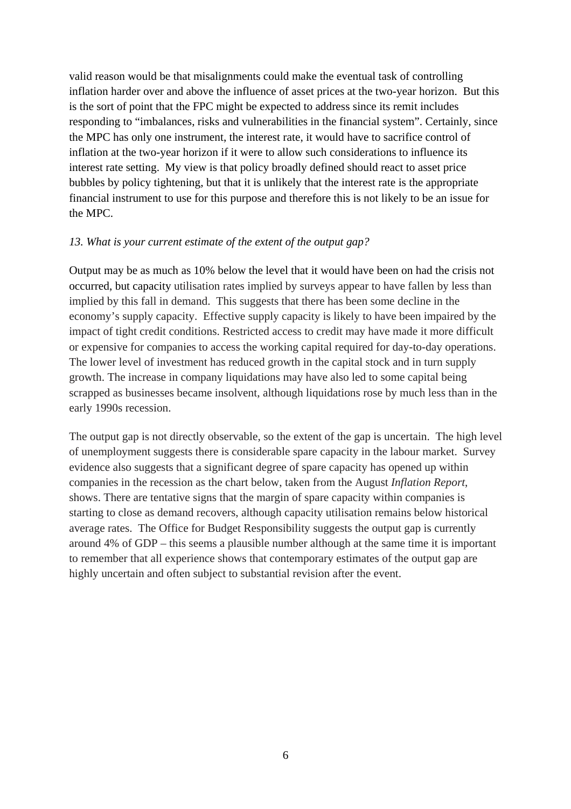valid reason would be that misalignments could make the eventual task of controlling inflation harder over and above the influence of asset prices at the two-year horizon. But this is the sort of point that the FPC might be expected to address since its remit includes responding to "imbalances, risks and vulnerabilities in the financial system". Certainly, since the MPC has only one instrument, the interest rate, it would have to sacrifice control of inflation at the two-year horizon if it were to allow such considerations to influence its interest rate setting. My view is that policy broadly defined should react to asset price bubbles by policy tightening, but that it is unlikely that the interest rate is the appropriate financial instrument to use for this purpose and therefore this is not likely to be an issue for the MPC.

### *13. What is your current estimate of the extent of the output gap?*

Output may be as much as 10% below the level that it would have been on had the crisis not occurred, but capacity utilisation rates implied by surveys appear to have fallen by less than implied by this fall in demand. This suggests that there has been some decline in the economy's supply capacity. Effective supply capacity is likely to have been impaired by the impact of tight credit conditions. Restricted access to credit may have made it more difficult or expensive for companies to access the working capital required for day-to-day operations. The lower level of investment has reduced growth in the capital stock and in turn supply growth. The increase in company liquidations may have also led to some capital being scrapped as businesses became insolvent, although liquidations rose by much less than in the early 1990s recession.

The output gap is not directly observable, so the extent of the gap is uncertain. The high level of unemployment suggests there is considerable spare capacity in the labour market. Survey evidence also suggests that a significant degree of spare capacity has opened up within companies in the recession as the chart below, taken from the August *Inflation Report*, shows. There are tentative signs that the margin of spare capacity within companies is starting to close as demand recovers, although capacity utilisation remains below historical average rates. The Office for Budget Responsibility suggests the output gap is currently around 4% of GDP – this seems a plausible number although at the same time it is important to remember that all experience shows that contemporary estimates of the output gap are highly uncertain and often subject to substantial revision after the event.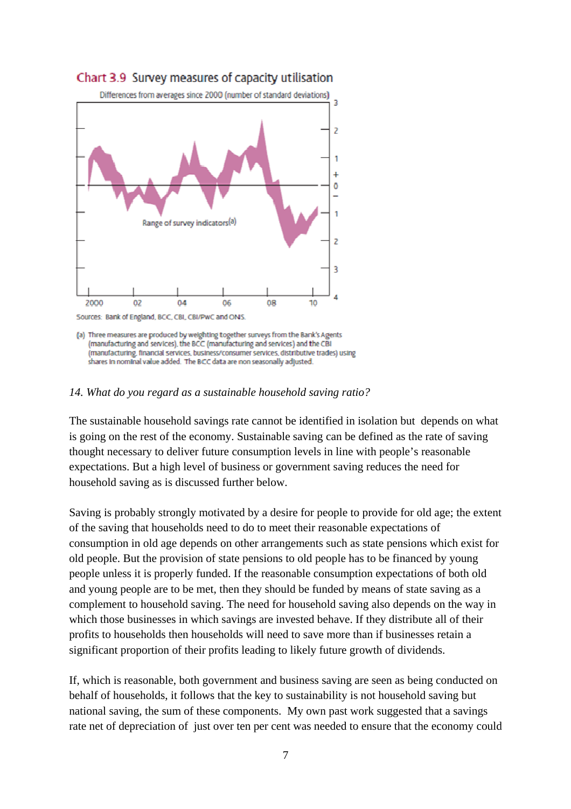

# Chart 3.9 Survey measures of capacity utilisation

#### *14. What do you regard as a sustainable household saving ratio?*

The sustainable household savings rate cannot be identified in isolation but depends on what is going on the rest of the economy. Sustainable saving can be defined as the rate of saving thought necessary to deliver future consumption levels in line with people's reasonable expectations. But a high level of business or government saving reduces the need for household saving as is discussed further below.

Saving is probably strongly motivated by a desire for people to provide for old age; the extent of the saving that households need to do to meet their reasonable expectations of consumption in old age depends on other arrangements such as state pensions which exist for old people. But the provision of state pensions to old people has to be financed by young people unless it is properly funded. If the reasonable consumption expectations of both old and young people are to be met, then they should be funded by means of state saving as a complement to household saving. The need for household saving also depends on the way in which those businesses in which savings are invested behave. If they distribute all of their profits to households then households will need to save more than if businesses retain a significant proportion of their profits leading to likely future growth of dividends.

If, which is reasonable, both government and business saving are seen as being conducted on behalf of households, it follows that the key to sustainability is not household saving but national saving, the sum of these components. My own past work suggested that a savings rate net of depreciation of just over ten per cent was needed to ensure that the economy could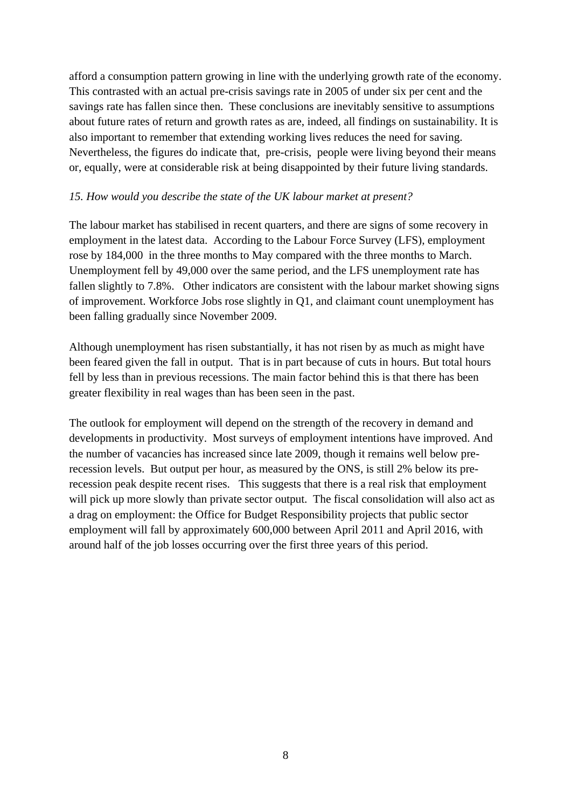afford a consumption pattern growing in line with the underlying growth rate of the economy. This contrasted with an actual pre-crisis savings rate in 2005 of under six per cent and the savings rate has fallen since then. These conclusions are inevitably sensitive to assumptions about future rates of return and growth rates as are, indeed, all findings on sustainability. It is also important to remember that extending working lives reduces the need for saving. Nevertheless, the figures do indicate that, pre-crisis, people were living beyond their means or, equally, were at considerable risk at being disappointed by their future living standards.

### *15. How would you describe the state of the UK labour market at present?*

The labour market has stabilised in recent quarters, and there are signs of some recovery in employment in the latest data. According to the Labour Force Survey (LFS), employment rose by 184,000 in the three months to May compared with the three months to March. Unemployment fell by 49,000 over the same period, and the LFS unemployment rate has fallen slightly to 7.8%. Other indicators are consistent with the labour market showing signs of improvement. Workforce Jobs rose slightly in Q1, and claimant count unemployment has been falling gradually since November 2009.

Although unemployment has risen substantially, it has not risen by as much as might have been feared given the fall in output. That is in part because of cuts in hours. But total hours fell by less than in previous recessions. The main factor behind this is that there has been greater flexibility in real wages than has been seen in the past.

The outlook for employment will depend on the strength of the recovery in demand and developments in productivity. Most surveys of employment intentions have improved. And the number of vacancies has increased since late 2009, though it remains well below prerecession levels. But output per hour, as measured by the ONS, is still 2% below its prerecession peak despite recent rises. This suggests that there is a real risk that employment will pick up more slowly than private sector output. The fiscal consolidation will also act as a drag on employment: the Office for Budget Responsibility projects that public sector employment will fall by approximately 600,000 between April 2011 and April 2016, with around half of the job losses occurring over the first three years of this period.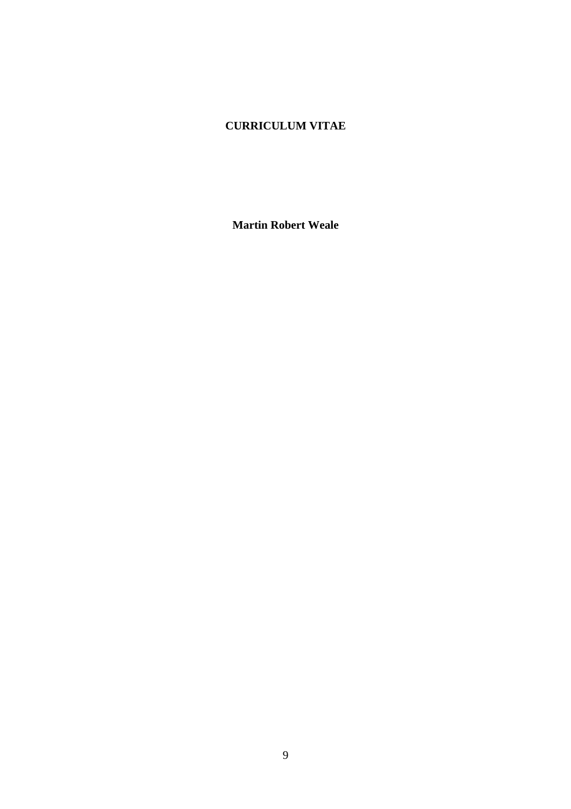# **CURRICULUM VITAE**

**Martin Robert Weale**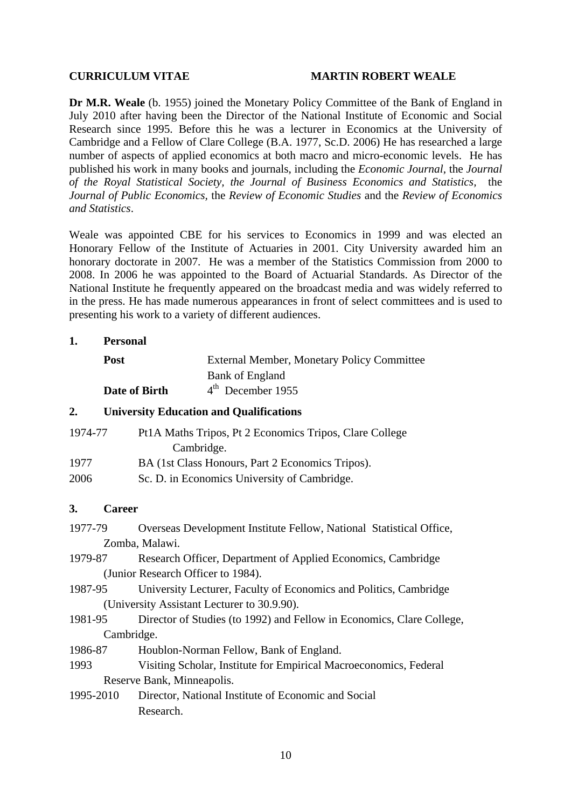#### **CURRICULUM VITAE MARTIN ROBERT WEALE**

**Dr M.R. Weale** (b. 1955) joined the Monetary Policy Committee of the Bank of England in July 2010 after having been the Director of the National Institute of Economic and Social Research since 1995. Before this he was a lecturer in Economics at the University of Cambridge and a Fellow of Clare College (B.A. 1977, Sc.D. 2006) He has researched a large number of aspects of applied economics at both macro and micro-economic levels. He has published his work in many books and journals, including the *Economic Journal*, the *Journal of the Royal Statistical Society, the Journal of Business Economics and Statistics,* the *Journal of Public Economics,* the *Review of Economic Studies* and the *Review of Economics and Statistics*.

Weale was appointed CBE for his services to Economics in 1999 and was elected an Honorary Fellow of the Institute of Actuaries in 2001. City University awarded him an honorary doctorate in 2007. He was a member of the Statistics Commission from 2000 to 2008. In 2006 he was appointed to the Board of Actuarial Standards. As Director of the National Institute he frequently appeared on the broadcast media and was widely referred to in the press. He has made numerous appearances in front of select committees and is used to presenting his work to a variety of different audiences.

#### **1. Personal**

| <b>Post</b>   | External Member, Monetary Policy Committee |
|---------------|--------------------------------------------|
|               | Bank of England                            |
| Date of Birth | 4 <sup>th</sup> December 1955              |

### **2. University Education and Qualifications**

| 1974-77 | Pt1A Maths Tripos, Pt 2 Economics Tripos, Clare College |
|---------|---------------------------------------------------------|
|         | Cambridge.                                              |
| 1977    | BA (1st Class Honours, Part 2 Economics Tripos).        |
| 2006    | Sc. D. in Economics University of Cambridge.            |

#### **3. Career**

- 1977-79 Overseas Development Institute Fellow, National Statistical Office, Zomba, Malawi.
- 1979-87 Research Officer, Department of Applied Economics, Cambridge (Junior Research Officer to 1984).
- 1987-95 University Lecturer, Faculty of Economics and Politics, Cambridge (University Assistant Lecturer to 30.9.90).
- 1981-95 Director of Studies (to 1992) and Fellow in Economics, Clare College, Cambridge.
- 1986-87 Houblon-Norman Fellow, Bank of England.
- 1993 Visiting Scholar, Institute for Empirical Macroeconomics, Federal Reserve Bank, Minneapolis.
- 1995-2010 Director, National Institute of Economic and Social Research.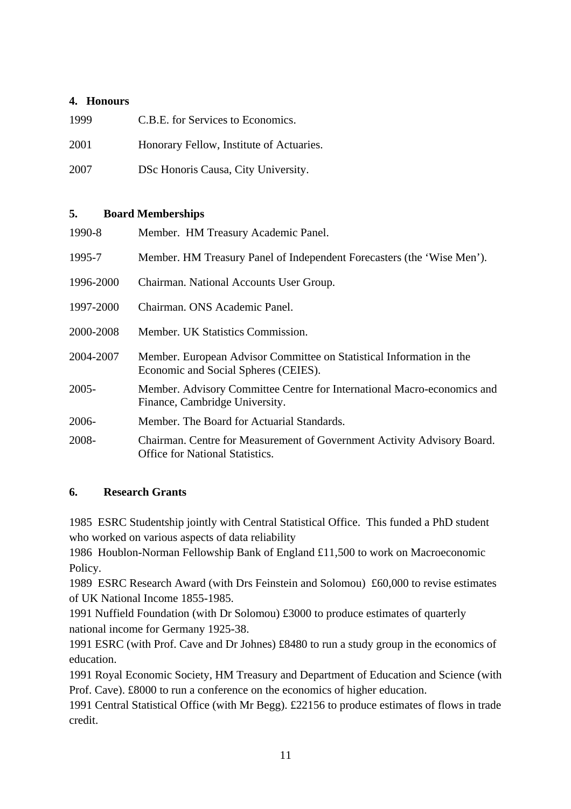### **4. Honours**

| 1999 | C.B.E. for Services to Economics.        |
|------|------------------------------------------|
| 2001 | Honorary Fellow, Institute of Actuaries. |
| 2007 | DSc Honoris Causa, City University.      |

### **5. Board Memberships**

| 1990-8    | Member. HM Treasury Academic Panel.                                                                               |
|-----------|-------------------------------------------------------------------------------------------------------------------|
| 1995-7    | Member. HM Treasury Panel of Independent Forecasters (the 'Wise Men').                                            |
| 1996-2000 | Chairman. National Accounts User Group.                                                                           |
| 1997-2000 | Chairman, ONS Academic Panel.                                                                                     |
| 2000-2008 | Member. UK Statistics Commission.                                                                                 |
| 2004-2007 | Member. European Advisor Committee on Statistical Information in the<br>Economic and Social Spheres (CEIES).      |
| $2005 -$  | Member. Advisory Committee Centre for International Macro-economics and<br>Finance, Cambridge University.         |
| 2006-     | Member. The Board for Actuarial Standards.                                                                        |
| 2008-     | Chairman. Centre for Measurement of Government Activity Advisory Board.<br><b>Office for National Statistics.</b> |

## **6. Research Grants**

1985 ESRC Studentship jointly with Central Statistical Office. This funded a PhD student who worked on various aspects of data reliability

1986 Houblon-Norman Fellowship Bank of England £11,500 to work on Macroeconomic Policy.

1989 ESRC Research Award (with Drs Feinstein and Solomou) £60,000 to revise estimates of UK National Income 1855-1985.

1991 Nuffield Foundation (with Dr Solomou) £3000 to produce estimates of quarterly national income for Germany 1925-38.

1991 ESRC (with Prof. Cave and Dr Johnes) £8480 to run a study group in the economics of education.

1991 Royal Economic Society, HM Treasury and Department of Education and Science (with Prof. Cave). £8000 to run a conference on the economics of higher education.

1991 Central Statistical Office (with Mr Begg). £22156 to produce estimates of flows in trade credit.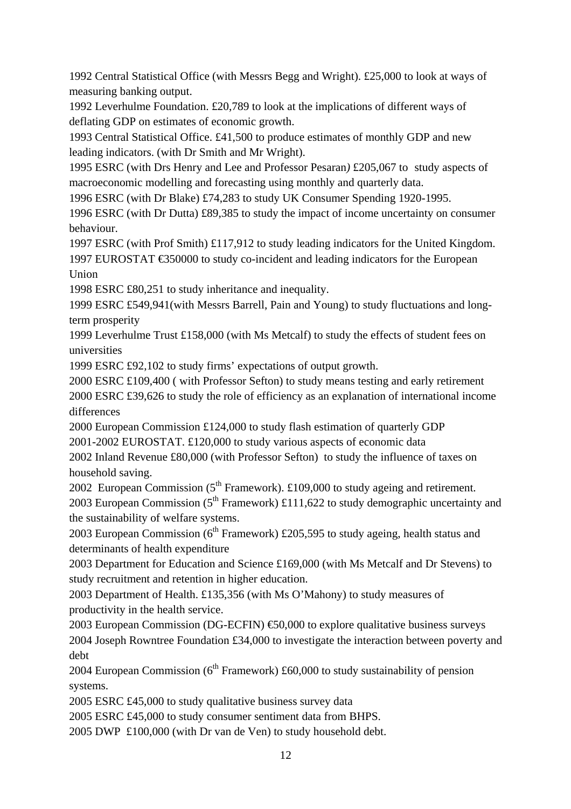1992 Central Statistical Office (with Messrs Begg and Wright). £25,000 to look at ways of measuring banking output.

1992 Leverhulme Foundation. £20,789 to look at the implications of different ways of deflating GDP on estimates of economic growth.

1993 Central Statistical Office. £41,500 to produce estimates of monthly GDP and new leading indicators. (with Dr Smith and Mr Wright).

1995 ESRC (with Drs Henry and Lee and Professor Pesaran*)* £205,067 to study aspects of macroeconomic modelling and forecasting using monthly and quarterly data.

1996 ESRC (with Dr Blake) £74,283 to study UK Consumer Spending 1920-1995.

1996 ESRC (with Dr Dutta) £89,385 to study the impact of income uncertainty on consumer behaviour.

1997 ESRC (with Prof Smith) £117,912 to study leading indicators for the United Kingdom. 1997 EUROSTAT €350000 to study co-incident and leading indicators for the European Union

1998 ESRC £80,251 to study inheritance and inequality.

1999 ESRC £549,941(with Messrs Barrell, Pain and Young) to study fluctuations and longterm prosperity

1999 Leverhulme Trust £158,000 (with Ms Metcalf) to study the effects of student fees on universities

1999 ESRC £92,102 to study firms' expectations of output growth.

2000 ESRC £109,400 ( with Professor Sefton) to study means testing and early retirement 2000 ESRC £39,626 to study the role of efficiency as an explanation of international income differences

2000 European Commission £124,000 to study flash estimation of quarterly GDP 2001-2002 EUROSTAT. £120,000 to study various aspects of economic data

2002 Inland Revenue £80,000 (with Professor Sefton) to study the influence of taxes on household saving.

2002 European Commission  $(5<sup>th</sup> Framework)$ . £109,000 to study ageing and retirement.

2003 European Commission  $(5^{th}$  Framework) £111,622 to study demographic uncertainty and the sustainability of welfare systems.

2003 European Commission ( $6<sup>th</sup>$  Framework) £205,595 to study ageing, health status and determinants of health expenditure

2003 Department for Education and Science £169,000 (with Ms Metcalf and Dr Stevens) to study recruitment and retention in higher education.

2003 Department of Health. £135,356 (with Ms O'Mahony) to study measures of productivity in the health service.

2003 European Commission (DG-ECFIN)  $\text{\textsterling}0,000$  to explore qualitative business surveys 2004 Joseph Rowntree Foundation £34,000 to investigate the interaction between poverty and debt

2004 European Commission  $(6^{th}$  Framework) £60,000 to study sustainability of pension systems.

2005 ESRC £45,000 to study qualitative business survey data

2005 ESRC £45,000 to study consumer sentiment data from BHPS.

2005 DWP £100,000 (with Dr van de Ven) to study household debt.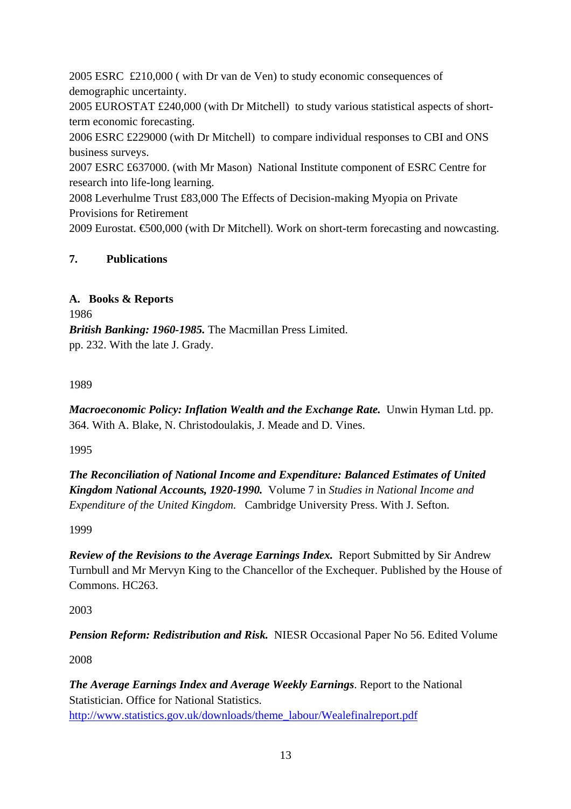2005 ESRC £210,000 ( with Dr van de Ven) to study economic consequences of demographic uncertainty.

2005 EUROSTAT £240,000 (with Dr Mitchell) to study various statistical aspects of shortterm economic forecasting.

2006 ESRC £229000 (with Dr Mitchell) to compare individual responses to CBI and ONS business surveys.

2007 ESRC £637000. (with Mr Mason) National Institute component of ESRC Centre for research into life-long learning.

2008 Leverhulme Trust £83,000 The Effects of Decision-making Myopia on Private Provisions for Retirement

2009 Eurostat. €500,000 (with Dr Mitchell). Work on short-term forecasting and nowcasting.

# **7. Publications**

# **A. Books & Reports**

1986 *British Banking: 1960-1985.* The Macmillan Press Limited. pp. 232. With the late J. Grady.

# 1989

*Macroeconomic Policy: Inflation Wealth and the Exchange Rate.* Unwin Hyman Ltd. pp. 364. With A. Blake, N. Christodoulakis, J. Meade and D. Vines.

1995

*The Reconciliation of National Income and Expenditure: Balanced Estimates of United Kingdom National Accounts, 1920-1990.* Volume 7 in *Studies in National Income and Expenditure of the United Kingdom.* Cambridge University Press. With J. Sefton.

1999

*Review of the Revisions to the Average Earnings Index.* Report Submitted by Sir Andrew Turnbull and Mr Mervyn King to the Chancellor of the Exchequer. Published by the House of Commons. HC263.

2003

*Pension Reform: Redistribution and Risk.* NIESR Occasional Paper No 56. Edited Volume

2008

*The Average Earnings Index and Average Weekly Earnings*. Report to the National Statistician. Office for National Statistics. http://www.statistics.gov.uk/downloads/theme\_labour/Wealefinalreport.pdf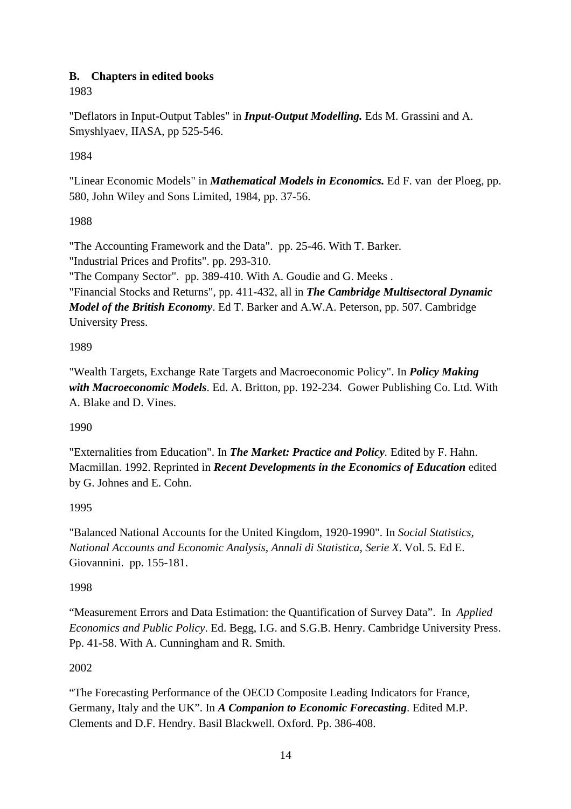# **B. Chapters in edited books**

1983

"Deflators in Input-Output Tables" in *Input-Output Modelling.* Eds M. Grassini and A. Smyshlyaev, IIASA, pp 525-546.

1984

"Linear Economic Models" in *Mathematical Models in Economics.* Ed F. van der Ploeg, pp. 580, John Wiley and Sons Limited, 1984, pp. 37-56.

# 1988

"The Accounting Framework and the Data". pp. 25-46. With T. Barker. "Industrial Prices and Profits". pp. 293-310.

"The Company Sector". pp. 389-410. With A. Goudie and G. Meeks .

"Financial Stocks and Returns", pp. 411-432, all in *The Cambridge Multisectoral Dynamic Model of the British Economy*. Ed T. Barker and A.W.A. Peterson, pp. 507. Cambridge University Press.

# 1989

"Wealth Targets, Exchange Rate Targets and Macroeconomic Policy". In *Policy Making with Macroeconomic Models*. Ed. A. Britton, pp. 192-234. Gower Publishing Co. Ltd. With A. Blake and D. Vines.

## 1990

"Externalities from Education". In *The Market: Practice and Policy.* Edited by F. Hahn. Macmillan. 1992. Reprinted in *Recent Developments in the Economics of Education* edited by G. Johnes and E. Cohn.

# 1995

"Balanced National Accounts for the United Kingdom, 1920-1990". In *Social Statistics, National Accounts and Economic Analysis, Annali di Statistica, Serie X*. Vol. 5. Ed E. Giovannini. pp. 155-181.

## 1998

"Measurement Errors and Data Estimation: the Quantification of Survey Data". In *Applied Economics and Public Policy*. Ed. Begg, I.G. and S.G.B. Henry. Cambridge University Press. Pp. 41-58. With A. Cunningham and R. Smith.

## 2002

"The Forecasting Performance of the OECD Composite Leading Indicators for France, Germany, Italy and the UK". In *A Companion to Economic Forecasting*. Edited M.P. Clements and D.F. Hendry. Basil Blackwell. Oxford. Pp. 386-408.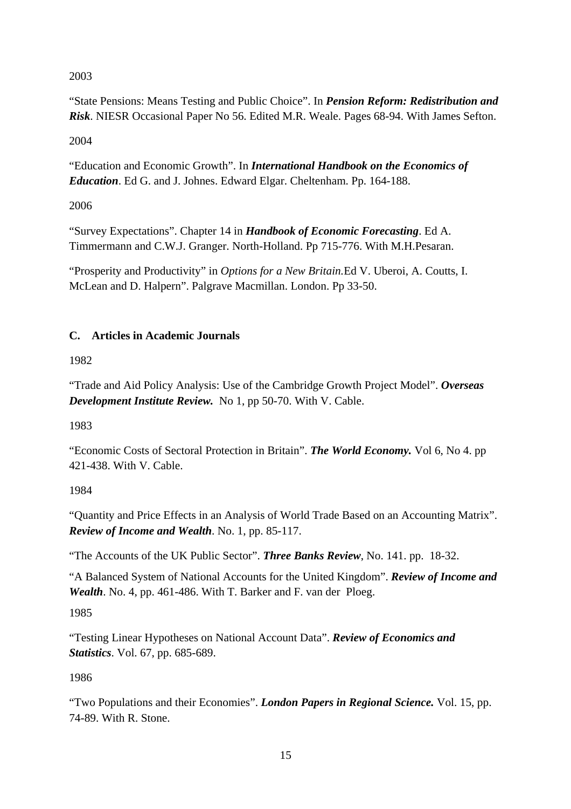# 2003

"State Pensions: Means Testing and Public Choice". In *Pension Reform: Redistribution and Risk*. NIESR Occasional Paper No 56. Edited M.R. Weale. Pages 68-94. With James Sefton.

2004

"Education and Economic Growth". In *International Handbook on the Economics of Education*. Ed G. and J. Johnes. Edward Elgar. Cheltenham. Pp. 164-188.

2006

"Survey Expectations". Chapter 14 in *Handbook of Economic Forecasting*. Ed A. Timmermann and C.W.J. Granger. North-Holland. Pp 715-776. With M.H.Pesaran.

"Prosperity and Productivity" in *Options for a New Britain.*Ed V. Uberoi, A. Coutts, I. McLean and D. Halpern". Palgrave Macmillan. London. Pp 33-50.

# **C. Articles in Academic Journals**

1982

"Trade and Aid Policy Analysis: Use of the Cambridge Growth Project Model". *Overseas Development Institute Review.* No 1, pp 50-70. With V. Cable.

1983

"Economic Costs of Sectoral Protection in Britain". *The World Economy.* Vol 6, No 4. pp 421-438. With V. Cable.

1984

"Quantity and Price Effects in an Analysis of World Trade Based on an Accounting Matrix". *Review of Income and Wealth*. No. 1, pp. 85-117.

"The Accounts of the UK Public Sector". *Three Banks Review*, No. 141. pp. 18-32.

"A Balanced System of National Accounts for the United Kingdom". *Review of Income and Wealth*. No. 4, pp. 461-486. With T. Barker and F. van der Ploeg.

1985

"Testing Linear Hypotheses on National Account Data". *Review of Economics and Statistics*. Vol. 67, pp. 685-689.

1986

"Two Populations and their Economies". *London Papers in Regional Science.* Vol. 15, pp. 74-89. With R. Stone.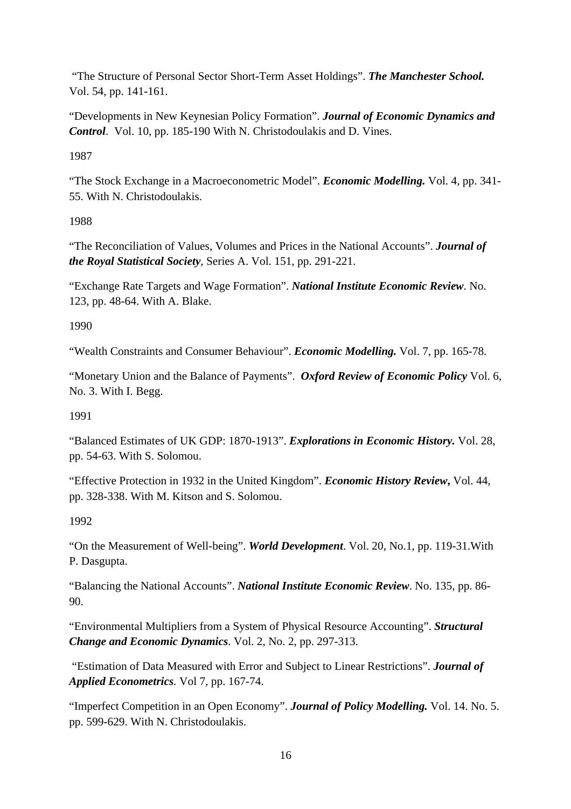"The Structure of Personal Sector Short-Term Asset Holdings". *The Manchester School.* Vol. 54, pp. 141-161.

"Developments in New Keynesian Policy Formation". *Journal of Economic Dynamics and Control*. Vol. 10, pp. 185-190 With N. Christodoulakis and D. Vines.

1987

"The Stock Exchange in a Macroeconometric Model". *Economic Modelling.* Vol. 4, pp. 341- 55. With N. Christodoulakis.

1988

"The Reconciliation of Values, Volumes and Prices in the National Accounts". *Journal of the Royal Statistical Society*, Series A. Vol. 151, pp. 291-221.

"Exchange Rate Targets and Wage Formation". *National Institute Economic Review*. No. 123, pp. 48-64. With A. Blake.

1990

"Wealth Constraints and Consumer Behaviour". *Economic Modelling.* Vol. 7, pp. 165-78.

"Monetary Union and the Balance of Payments". *Oxford Review of Economic Policy* Vol. 6, No. 3. With I. Begg.

1991

"Balanced Estimates of UK GDP: 1870-1913". *Explorations in Economic History.* Vol. 28, pp. 54-63. With S. Solomou.

"Effective Protection in 1932 in the United Kingdom". *Economic History Review***,** Vol. 44, pp. 328-338. With M. Kitson and S. Solomou.

1992

"On the Measurement of Well-being". *World Development*. Vol. 20, No.1, pp. 119-31.With P. Dasgupta.

"Balancing the National Accounts". *National Institute Economic Review*. No. 135, pp. 86- 90.

"Environmental Multipliers from a System of Physical Resource Accounting". *Structural Change and Economic Dynamics*. Vol. 2, No. 2, pp. 297-313.

 "Estimation of Data Measured with Error and Subject to Linear Restrictions". *Journal of Applied Econometrics.* Vol 7, pp. 167-74.

"Imperfect Competition in an Open Economy". *Journal of Policy Modelling.* Vol. 14. No. 5. pp. 599-629. With N. Christodoulakis.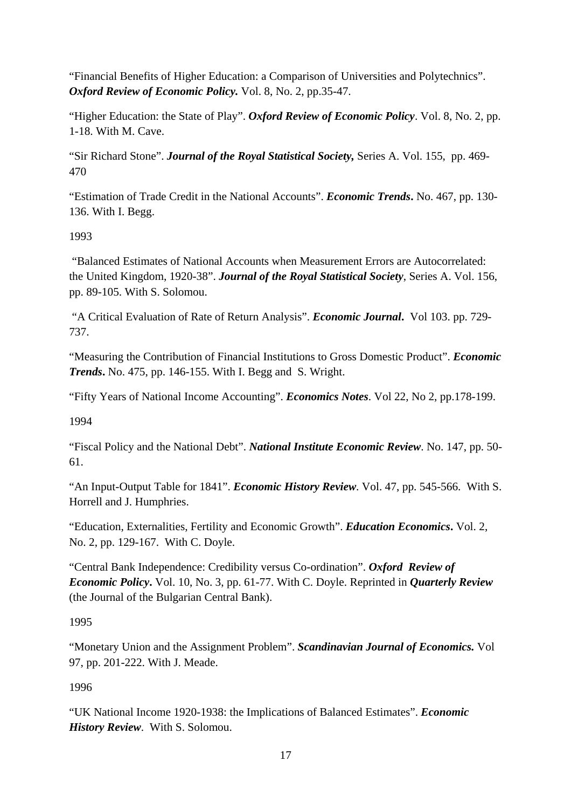"Financial Benefits of Higher Education: a Comparison of Universities and Polytechnics". *Oxford Review of Economic Policy.* Vol. 8, No. 2, pp.35-47.

"Higher Education: the State of Play". *Oxford Review of Economic Policy*. Vol. 8, No. 2, pp. 1-18. With M. Cave.

"Sir Richard Stone". *Journal of the Royal Statistical Society,* Series A. Vol. 155, pp. 469- 470

"Estimation of Trade Credit in the National Accounts". *Economic Trends***.** No. 467, pp. 130- 136. With I. Begg.

1993

 "Balanced Estimates of National Accounts when Measurement Errors are Autocorrelated: the United Kingdom, 1920-38". *Journal of the Royal Statistical Society*, Series A. Vol. 156, pp. 89-105. With S. Solomou.

 "A Critical Evaluation of Rate of Return Analysis". *Economic Journal***.** Vol 103. pp. 729- 737.

"Measuring the Contribution of Financial Institutions to Gross Domestic Product". *Economic Trends***.** No. 475, pp. 146-155. With I. Begg and S. Wright.

"Fifty Years of National Income Accounting". *Economics Notes*. Vol 22, No 2, pp.178-199.

1994

"Fiscal Policy and the National Debt". *National Institute Economic Review*. No. 147, pp. 50- 61.

"An Input-Output Table for 1841". *Economic History Review*. Vol. 47, pp. 545-566. With S. Horrell and J. Humphries.

"Education, Externalities, Fertility and Economic Growth". *Education Economics***.** Vol. 2, No. 2, pp. 129-167. With C. Doyle.

"Central Bank Independence: Credibility versus Co-ordination". *Oxford Review of Economic Policy***.** Vol. 10, No. 3, pp. 61-77. With C. Doyle. Reprinted in *Quarterly Review* (the Journal of the Bulgarian Central Bank).

# 1995

"Monetary Union and the Assignment Problem". *Scandinavian Journal of Economics.* Vol 97, pp. 201-222. With J. Meade.

1996

"UK National Income 1920-1938: the Implications of Balanced Estimates". *Economic History Review*. With S. Solomou.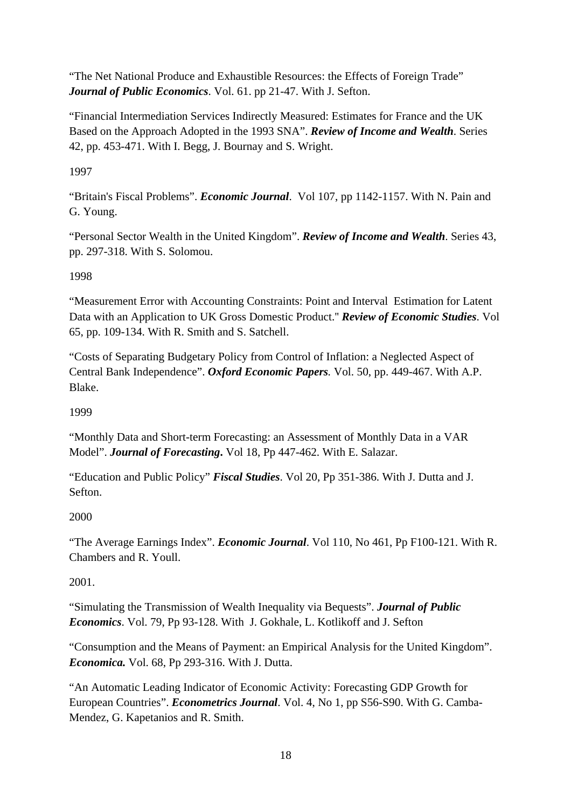"The Net National Produce and Exhaustible Resources: the Effects of Foreign Trade" *Journal of Public Economics*. Vol. 61. pp 21-47. With J. Sefton.

"Financial Intermediation Services Indirectly Measured: Estimates for France and the UK Based on the Approach Adopted in the 1993 SNA". *Review of Income and Wealth*. Series 42, pp. 453-471. With I. Begg, J. Bournay and S. Wright.

1997

"Britain's Fiscal Problems". *Economic Journal*. Vol 107, pp 1142-1157. With N. Pain and G. Young.

"Personal Sector Wealth in the United Kingdom". *Review of Income and Wealth*. Series 43, pp. 297-318. With S. Solomou.

1998

"Measurement Error with Accounting Constraints: Point and Interval Estimation for Latent Data with an Application to UK Gross Domestic Product.'' *Review of Economic Studies*. Vol 65, pp. 109-134. With R. Smith and S. Satchell.

"Costs of Separating Budgetary Policy from Control of Inflation: a Neglected Aspect of Central Bank Independence". *Oxford Economic Papers.* Vol. 50, pp. 449-467. With A.P. Blake.

1999

"Monthly Data and Short-term Forecasting: an Assessment of Monthly Data in a VAR Model". *Journal of Forecasting***.** Vol 18, Pp 447-462. With E. Salazar.

"Education and Public Policy" *Fiscal Studies*. Vol 20, Pp 351-386. With J. Dutta and J. Sefton.

2000

"The Average Earnings Index". *Economic Journal*. Vol 110, No 461, Pp F100-121. With R. Chambers and R. Youll.

2001.

"Simulating the Transmission of Wealth Inequality via Bequests". *Journal of Public Economics*. Vol. 79, Pp 93-128. With J. Gokhale, L. Kotlikoff and J. Sefton

"Consumption and the Means of Payment: an Empirical Analysis for the United Kingdom". *Economica.* Vol. 68, Pp 293-316. With J. Dutta.

"An Automatic Leading Indicator of Economic Activity: Forecasting GDP Growth for European Countries". *Econometrics Journal*. Vol. 4, No 1, pp S56-S90. With G. Camba-Mendez, G. Kapetanios and R. Smith.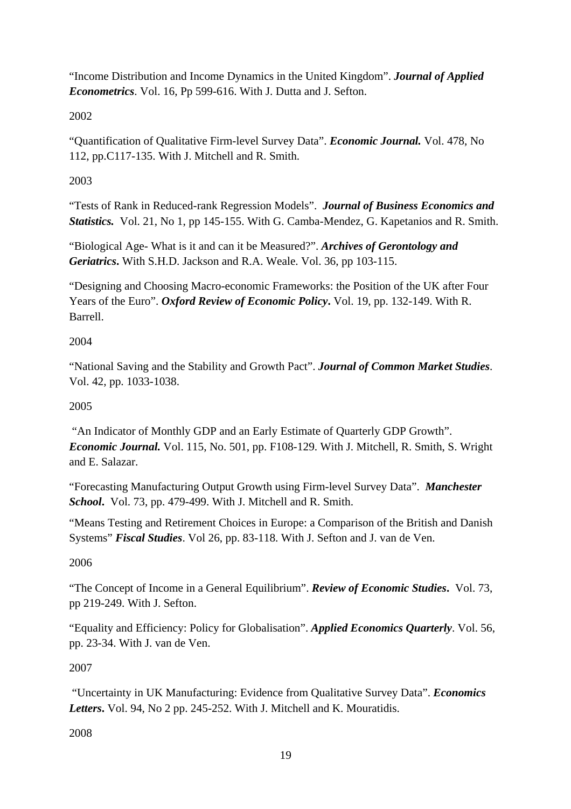"Income Distribution and Income Dynamics in the United Kingdom". *Journal of Applied Econometrics*. Vol. 16, Pp 599-616. With J. Dutta and J. Sefton.

2002

"Quantification of Qualitative Firm-level Survey Data". *Economic Journal.* Vol. 478, No 112, pp.C117-135. With J. Mitchell and R. Smith.

2003

"Tests of Rank in Reduced-rank Regression Models". *Journal of Business Economics and Statistics.* Vol. 21, No 1, pp 145-155. With G. Camba-Mendez, G. Kapetanios and R. Smith.

"Biological Age- What is it and can it be Measured?". *Archives of Gerontology and Geriatrics***.** With S.H.D. Jackson and R.A. Weale. Vol. 36, pp 103-115.

"Designing and Choosing Macro-economic Frameworks: the Position of the UK after Four Years of the Euro". *Oxford Review of Economic Policy***.** Vol. 19, pp. 132-149. With R. Barrell.

2004

"National Saving and the Stability and Growth Pact". *Journal of Common Market Studies*. Vol. 42, pp. 1033-1038.

2005

 "An Indicator of Monthly GDP and an Early Estimate of Quarterly GDP Growth". *Economic Journal.* Vol. 115, No. 501, pp. F108-129. With J. Mitchell, R. Smith, S. Wright and E. Salazar.

"Forecasting Manufacturing Output Growth using Firm-level Survey Data". *Manchester School***.** Vol. 73, pp. 479-499. With J. Mitchell and R. Smith.

"Means Testing and Retirement Choices in Europe: a Comparison of the British and Danish Systems" *Fiscal Studies*. Vol 26, pp. 83-118. With J. Sefton and J. van de Ven.

2006

"The Concept of Income in a General Equilibrium". *Review of Economic Studies***.** Vol. 73, pp 219-249. With J. Sefton.

"Equality and Efficiency: Policy for Globalisation". *Applied Economics Quarterly*. Vol. 56, pp. 23-34. With J. van de Ven.

2007

 "Uncertainty in UK Manufacturing: Evidence from Qualitative Survey Data". *Economics Letters***.** Vol. 94, No 2 pp. 245-252. With J. Mitchell and K. Mouratidis.

2008